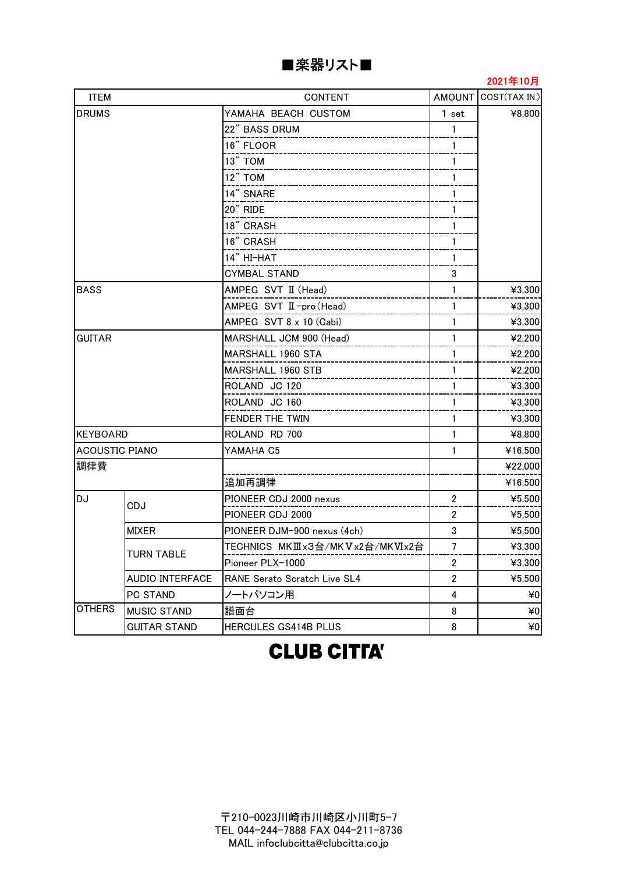| ■楽器リスト |  |
|--------|--|
|--------|--|

### 2021年10月

| <b>ITEM</b>           |                        | <b>CONTENT</b>                 |                | AMOUNT COST(TAX IN.) |  |
|-----------------------|------------------------|--------------------------------|----------------|----------------------|--|
| <b>DRUMS</b>          |                        | YAMAHA BEACH CUSTOM            | 1 set          | ¥8,800               |  |
|                       |                        | 22" BASS DRUM                  | $\mathbf{1}$   |                      |  |
|                       |                        | 16" FLOOR                      | $\mathbf{1}$   |                      |  |
|                       |                        | 13" TOM                        | $\mathbf{1}$   |                      |  |
|                       |                        | 12" TOM                        | 1              |                      |  |
|                       |                        | 14" SNARE                      | $\mathbf{1}$   |                      |  |
|                       |                        | 20" RIDE                       | 1              |                      |  |
|                       |                        | 18" CRASH                      | $\mathbf{1}$   |                      |  |
|                       |                        | 16" CRASH                      | $\mathbf{1}$   |                      |  |
|                       |                        | 14" HI-HAT                     | $\mathbf{1}$   |                      |  |
|                       |                        | <b>CYMBAL STAND</b>            | 3              |                      |  |
| <b>BASS</b>           |                        | AMPEG SVT II (Head)            | $\mathbf{1}$   | ¥3,300               |  |
|                       |                        | AMPEG SVT II-pro(Head)         | $\mathbf{1}$   | ¥3,300               |  |
|                       |                        | AMPEG SVT 8 x 10 (Cabi)        | 1              | ¥3,300               |  |
| <b>GUITAR</b>         |                        | MARSHALL JCM 900 (Head)        | $\mathbf{1}$   | ¥2,200               |  |
|                       |                        | MARSHALL 1960 STA              | $\mathbf{1}$   | ¥2,200               |  |
|                       |                        | <b>MARSHALL 1960 STB</b>       | 1              | ¥2,200               |  |
|                       |                        | ROLAND JC 120                  | $\mathbf{1}$   | ¥3,300               |  |
|                       |                        | ROLAND JC 160                  | 1              | ¥3,300               |  |
|                       |                        | FENDER THE TWIN                | 1              | ¥3,300               |  |
| <b>KEYBOARD</b>       |                        | ROLAND RD 700                  | $\mathbf{1}$   | ¥8,800               |  |
| <b>ACOUSTIC PIANO</b> |                        | YAMAHA C5                      | $\mathbf{1}$   | ¥16,500              |  |
| 調律費                   |                        |                                |                | ¥22,000              |  |
|                       |                        | 追加再調律                          |                | ¥16,500              |  |
| <b>DJ</b>             | CDJ                    | PIONEER CDJ 2000 nexus         | $\overline{2}$ | ¥5,500               |  |
|                       |                        | PIONEER CDJ 2000               | $\overline{2}$ | ¥5,500               |  |
|                       | <b>MIXER</b>           | PIONEER DJM-900 nexus (4ch)    | $\mathfrak{3}$ | ¥5,500               |  |
|                       | <b>TURN TABLE</b>      | TECHNICS MKⅢx3台/MKVx2台/MKVIx2台 | $\overline{7}$ | ¥3,300               |  |
|                       |                        | Pioneer PLX-1000               | 2              | ¥3,300               |  |
|                       | <b>AUDIO INTERFACE</b> | RANE Serato Scratch Live SL4   | $\overline{2}$ | ¥5,500               |  |
|                       | PC STAND               | ノートパソコン用                       | 4              | ¥0                   |  |
| <b>OTHERS</b>         | <b>MUSIC STAND</b>     | 譜面台                            | 8              | 40                   |  |
| <b>GUITAR STAND</b>   |                        | HERCULES GS414B PLUS           | 8              | $*0$                 |  |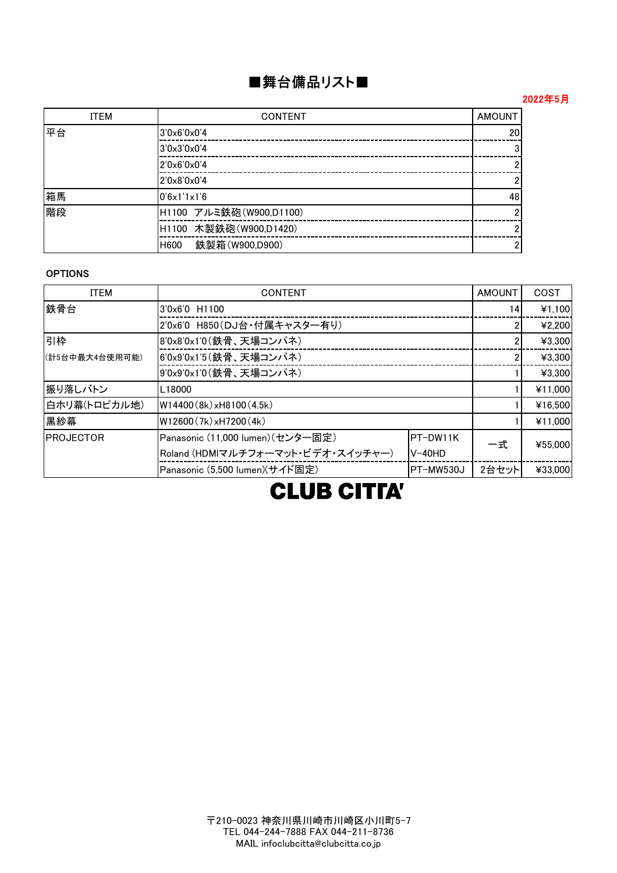## ■舞台備品リスト■

### 2022年5月

| <b>ITEM</b> | <b>AMOUNT</b><br><b>CONTENT</b> |    |  |  |  |  |
|-------------|---------------------------------|----|--|--|--|--|
| 平台          | 3'0x6'0x0'4                     | 20 |  |  |  |  |
|             | 3'0x3'0x0'4                     |    |  |  |  |  |
|             | 2'0x6'0x0'4                     |    |  |  |  |  |
|             | 2'0x8'0x0'4                     |    |  |  |  |  |
| 箱馬          | 0'6x1'1x1'6                     | 48 |  |  |  |  |
| 階段          | H1100 アルミ鉄砲 (W900,D1100)        |    |  |  |  |  |
|             | H1100 木製鉄砲 (W900,D1420)         |    |  |  |  |  |
|             | 鉄製箱(W900,D900)<br>H600          |    |  |  |  |  |

### OPTIONS

| <b>ITEM</b>       | <b>CONTENT</b>                    |           | <b>AMOUNT</b> | COST    |
|-------------------|-----------------------------------|-----------|---------------|---------|
| 鉄骨台               | 3'0x6'0 H1100                     |           | 14            | ¥1,100  |
|                   | 2'0x6'0 H850(DJ台·付属キャスター有り)       |           |               | ¥2,200  |
| 引枠                | 8'0x8'0x1'0(鉄骨、天場コンパネ)            |           |               | ¥3,300  |
| (計5台中最大4台使用可能)    | 6'0x9'0x1'5(鉄骨、天場コンパネ)            |           |               | ¥3,300  |
|                   | 9'0x9'0x1'0(鉄骨、天場コンパネ)            |           | ¥3,300        |         |
| 振り落しバトン           | L18000                            |           | ¥11,000       |         |
| 白ホリ幕(トロピカル地)      | W14400 (8k) xH8100 (4.5k)         |           | ¥16,500       |         |
| 黒紗幕               | W12600 (7k) xH7200 (4k)           |           | ¥11,000       |         |
| <b>IPROJECTOR</b> | Panasonic (11,000 lumen) (センター固定) | 一式        | ¥55,000       |         |
|                   | Roland (HDMIマルチフォーマット・ビデオ・スイッチャー) | $V-40HD$  |               |         |
|                   | Panasonic (5,500 lumen)(サイド固定)    | PT-MW530J | 2台セット         | ¥33,000 |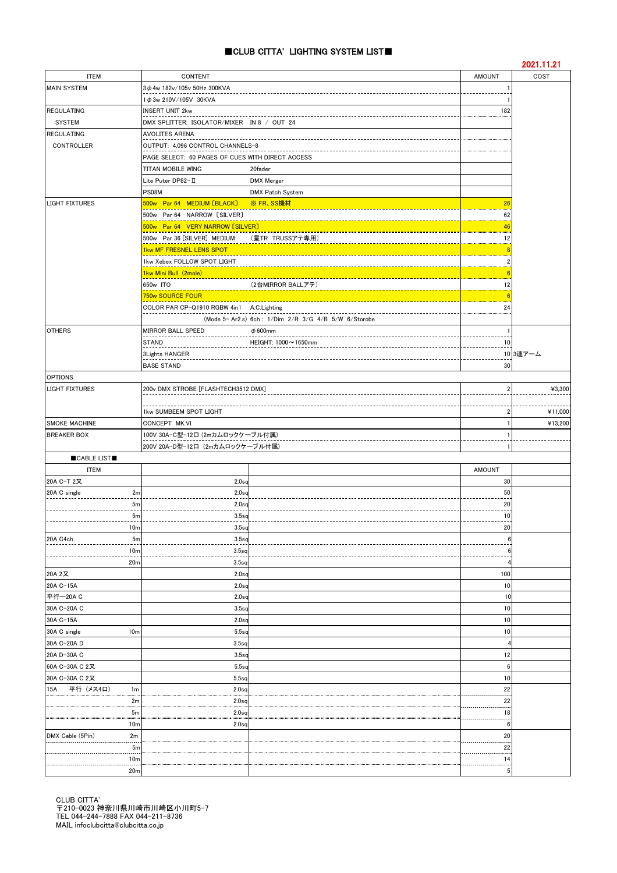#### ■CLUB CITTA' LIGHTING SYSTEM LIST■

|                        |                 |                                                  |                                                      |                | 2021.11.21 |
|------------------------|-----------------|--------------------------------------------------|------------------------------------------------------|----------------|------------|
| ITEM                   |                 | CONTENT                                          |                                                      | <b>AMOUNT</b>  | COST       |
| <b>MAIN SYSTEM</b>     |                 | $3\phi$ 4w 182v/105v 50Hz 300KVA                 |                                                      |                |            |
|                        |                 | 1 $\phi$ 3w 210V/105V 30KVA                      |                                                      |                |            |
| <b>REGULATING</b>      |                 | <b>INSERT UNIT 2kw</b>                           |                                                      | 182            |            |
| <b>SYSTEM</b>          |                 | DMX SPLITTER: ISOLATOR/MIXER IN 8 / OUT 24       |                                                      |                |            |
| <b>REGULATING</b>      |                 | AVOLITES ARENA                                   |                                                      |                |            |
| CONTROLLER             |                 | OUTPUT: 4,096 CONTROL CHANNELS-8                 |                                                      |                |            |
|                        |                 | PAGE SELECT: 60 PAGES OF CUES WITH DIRECT ACCESS |                                                      |                |            |
|                        |                 |                                                  |                                                      |                |            |
|                        |                 | TITAN MOBILE WING                                | 20fader                                              |                |            |
|                        |                 | Lite Puter DP82-II                               | <b>DMX</b> Merger                                    |                |            |
|                        |                 | PS08M                                            | DMX Patch System                                     |                |            |
| <b>LIGHT FIXTURES</b>  |                 | 500w Par 64 MEDIUM [BLACK]                       | ※ FR、SS機材                                            | 26             |            |
|                        |                 | 500w Par 64 NARROW [SILVER]                      |                                                      | 62             |            |
|                        |                 | 500w Par 64 VERY NARROW [SILVER]                 |                                                      | 46             |            |
|                        |                 | 500w Par 36 [SILVER] MEDIUM                      | (星TR TRUSSアテ専用)                                      | 12             |            |
|                        |                 | 1kw MF FRESNEL LENS SPOT                         |                                                      | F              |            |
|                        |                 | 1kw Xebex FOLLOW SPOT LIGHT                      |                                                      | $\overline{2}$ |            |
|                        |                 | 1kw Mini Bull (2mole)                            |                                                      | 6              |            |
|                        |                 |                                                  |                                                      |                |            |
|                        |                 | 650w ITO                                         | (2台MIRROR BALLアテ)                                    | 12             |            |
|                        |                 | 750w SOURCE FOUR                                 |                                                      | -6             |            |
|                        |                 | COLOR PAR CP-Q1910 RGBW 4in1 A.C. Lighting       |                                                      | 24             |            |
|                        |                 |                                                  | (Mode 5- Ar2.s) 6ch: 1/Dim 2/R 3/G 4/B 5/W 6/Storobe |                |            |
| <b>OTHERS</b>          |                 | <b>MIRROR BALL SPEED</b>                         | $\phi$ 600mm                                         |                |            |
|                        |                 | <b>STAND</b>                                     | HEIGHT: 1000~1650mm                                  | 10             |            |
|                        |                 | 3Lights HANGER                                   |                                                      |                | 10 3連アーム   |
|                        |                 | <b>BASE STAND</b>                                |                                                      | 30             |            |
| <b>OPTIONS</b>         |                 |                                                  |                                                      |                |            |
| <b>LIGHT FIXTURES</b>  |                 | 200v DMX STROBE [FLASHTECH3512 DMX]              |                                                      | 2              | ¥3,300     |
|                        |                 |                                                  |                                                      |                |            |
|                        |                 |                                                  |                                                      |                |            |
| 1kw SUMBEEM SPOT LIGHT |                 |                                                  |                                                      | 2              | ¥11,000    |
| <b>SMOKE MACHINE</b>   |                 | CONCEPT MK.VI                                    |                                                      |                | ¥13,200    |
| <b>BREAKER BOX</b>     |                 | 100V 30A-C型-12口 (2mカムロックケーブル付属)                  |                                                      |                |            |
|                        |                 | 200V 20A-D型-12口 (2mカムロックケーブル付属)                  |                                                      |                |            |
| CABLE LIST             |                 |                                                  |                                                      |                |            |
| <b>ITEM</b>            |                 |                                                  |                                                      | <b>AMOUNT</b>  |            |
| 20A C-T 2又             |                 | 2.0 <sub>sq</sub>                                |                                                      | 30             |            |
| 20A C single           | 2m              | 2.0 <sub>sq</sub>                                |                                                      | 50             |            |
|                        | 5 <sub>m</sub>  | 2.0 <sub>sq</sub>                                |                                                      | 20             |            |
|                        | 5m              | 3.5 <sub>q</sub>                                 |                                                      | 10             |            |
|                        | 10 <sub>m</sub> | 3.5 <sub>sq</sub>                                |                                                      | 20             |            |
|                        |                 |                                                  |                                                      |                |            |
| 20A C4ch               | 5 <sub>m</sub>  | 3.5 <sub>q</sub>                                 |                                                      |                |            |
|                        | 10 <sub>m</sub> | 3.5 <sub>q</sub>                                 |                                                      |                |            |
|                        | 20 <sub>m</sub> | 3.5 <sub>sq</sub>                                |                                                      |                |            |
| 20A 2又                 |                 | 2.0 <sub>sq</sub>                                |                                                      | 100            |            |
| 20A C-15A              |                 | 2.0 <sub>sq</sub>                                |                                                      | 10             |            |
| 平行-20A C               |                 | 2.0 <sub>sq</sub>                                |                                                      | 10             |            |
| 30A C-20A C            |                 | 3.5 <sub>5</sub>                                 |                                                      | 10             |            |
| 30A C-15A              |                 | 2.0 <sub>sc</sub>                                |                                                      | 10             |            |
| 30A C single           | 10 <sub>m</sub> | $5.5$ sq                                         |                                                      | 10             |            |
| 30A C-20A D            |                 | 3.5 <sub>q</sub>                                 |                                                      | 4              |            |
| 20A D-30A C            |                 | 3.5 <sub>q</sub>                                 |                                                      | 12             |            |
|                        |                 |                                                  |                                                      |                |            |
| 60A C-30A C 2又         |                 | 5.5 <sub>sc</sub>                                |                                                      | 6              |            |
| 30A C-30A C 2又         |                 | 5.5sq                                            |                                                      | 10             |            |
| 平行(メス4口)<br>15A        | 1 <sub>m</sub>  | 2.0 <sub>sq</sub>                                |                                                      | 22             |            |
|                        | 2m              | $2.0$ sq                                         |                                                      | 22             |            |
|                        | 5 <sub>m</sub>  | $2.0$ sq                                         |                                                      | 18             |            |
|                        | 10 <sub>m</sub> | 2.0 <sub>sq</sub>                                |                                                      | 6              |            |
| DMX Cable (5Pin)       | 2m              |                                                  |                                                      | 20             |            |
|                        | 5 <sub>m</sub>  |                                                  |                                                      | <br>22         |            |
|                        | 10 <sub>m</sub> |                                                  |                                                      | 14             |            |
|                        |                 |                                                  |                                                      | 5              |            |
|                        | 20 <sub>m</sub> |                                                  |                                                      |                |            |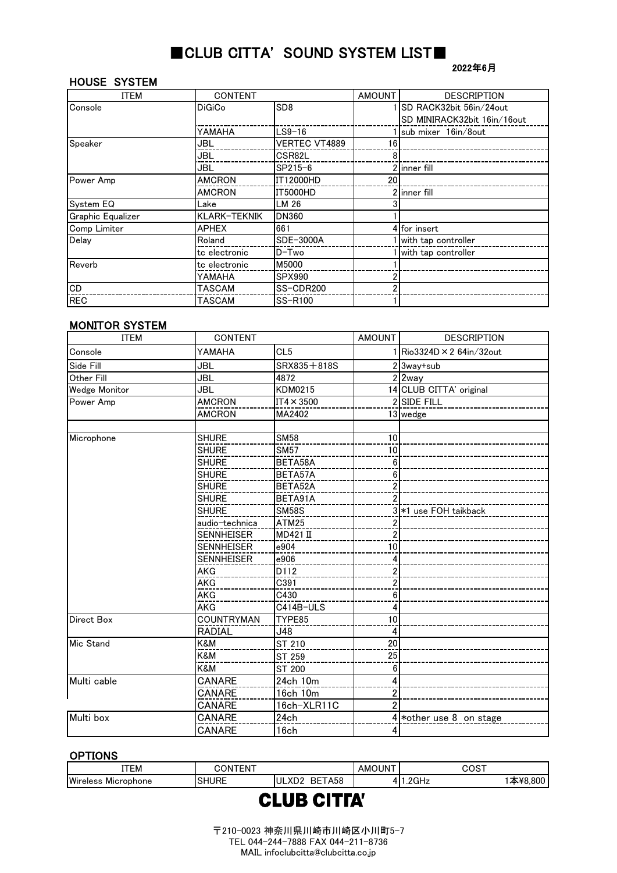### ■CLUB CITTA' SOUND SYSTEM LIST■

### HOUSE SYSTEM

#### 2022年6月

| ITEM              | <b>CONTENT</b> |                      | <b>AMOUNT</b> | <b>DESCRIPTION</b>          |
|-------------------|----------------|----------------------|---------------|-----------------------------|
| Console           | <b>DiGiCo</b>  | SD <sub>8</sub>      |               | ISD RACK32bit 56in/24out    |
|                   |                |                      |               | SD MINIRACK32bit 16in/16out |
|                   | YAMAHA         | LS9-16               |               | sub mixer 16in/8out         |
| Speaker           | JBL            | <b>VERTEC VT4889</b> | 16            |                             |
|                   | JBL            | CSR82L               |               |                             |
|                   | JBL            | SP215-6              |               | 2 linner fill               |
| Power Amp         | <b>AMCRON</b>  | IT12000HD            | 20            |                             |
|                   | <b>AMCRON</b>  | IT5000HD             |               | 2 linner fill               |
| System EQ         | Lake           | LM 26                |               |                             |
| Graphic Equalizer | KLARK-TEKNIK   | <b>DN360</b>         |               |                             |
| Comp Limiter      | <b>APHEX</b>   | 661                  |               | 4 for insert                |
| Delav             | Roland         | SDE-3000A            |               | with tap controller         |
|                   | tc electronic  | D-Two                |               | with tap controller         |
| Reverb            | tc electronic  | M5000                |               |                             |
|                   | YAMAHA         | <b>SPX990</b>        |               |                             |
| CD                | TASCAM         | SS-CDR200            |               |                             |
| <b>REC</b>        | TASCAM         | <b>SS-R100</b>       |               |                             |

### MONITOR SYSTEM

| <b>ITEM</b><br><b>CONTENT</b> |                   | <b>AMOUNT</b>     | <b>DESCRIPTION</b> |                           |
|-------------------------------|-------------------|-------------------|--------------------|---------------------------|
| Console                       | YAMAHA            | CL <sub>5</sub>   |                    | Rio3324D × 2 64in/32out   |
| Side Fill                     | JBL               | SRX835+818S       |                    | 2 3way+sub                |
| Other Fill                    | JBL               | 4872              |                    | $2$ 2 way                 |
| Wedge Monitor                 | JBL               | KDM0215           |                    | 14 CLUB CITTA' original   |
| Power Amp                     | <b>AMCRON</b>     | $IT4 \times 3500$ |                    | 2 SIDE FILL               |
|                               | <b>AMCRON</b>     | MA2402            |                    | 13 wedge                  |
|                               |                   |                   |                    |                           |
| Microphone                    | <b>SHURE</b>      | <b>SM58</b>       | 10                 |                           |
|                               | <b>SHURE</b>      | <b>SM57</b>       | 10                 |                           |
|                               | <b>SHURE</b>      | BETA58A           | 6                  |                           |
|                               | <b>SHURE</b>      | BETA57A           | 6                  |                           |
|                               | <b>SHURE</b>      | BETA52A           |                    |                           |
|                               | <b>SHURE</b>      | BETA91A           |                    |                           |
|                               | <b>SHURE</b>      | <b>SM58S</b>      |                    | 3 *1 use FOH taikback     |
|                               | audio-technica    | ATM25             |                    |                           |
|                               | <b>SENNHEISER</b> | <b>MD421 II</b>   |                    |                           |
|                               | <b>SENNHEISER</b> | e904              | 10                 |                           |
|                               | <b>SENNHEISER</b> | e906              |                    |                           |
|                               | AKG               | D112              | 2                  |                           |
|                               | AKG               | C391              | 2                  |                           |
|                               | <b>AKG</b>        | C430              | 6                  |                           |
|                               | <b>AKG</b>        | C414B-ULS         |                    |                           |
| <b>Direct Box</b>             | <b>COUNTRYMAN</b> | TYPE85            | 10                 |                           |
|                               | <b>RADIAL</b>     | J48               |                    |                           |
| Mic Stand                     | K&M               | ST 210            | 20                 |                           |
|                               | <b>K&amp;M</b>    | ST 259            | 25                 |                           |
|                               | K&M               | ST 200            | 6                  |                           |
| Multi cable                   | CANARE            | 24ch 10m          |                    |                           |
|                               | <b>CANARE</b>     | 16ch 10m          |                    |                           |
|                               | CANARE            | 16ch-XLR11C       | 2                  |                           |
| Multi box                     | CANARE            | 24ch              |                    | $4$ *other use 8 on stage |
|                               | CANARE            | 16 <sub>ch</sub>  |                    |                           |

### **OPTIONS**

| ITEM                   | -----<br>эN<br>∹N.<br>., |                                             | <b>AMOUNT</b> | ∩∩∩⊤<br>J∪J'  |      |
|------------------------|--------------------------|---------------------------------------------|---------------|---------------|------|
| Wireless<br>Microphone | HURE<br>SΗ               | ro.<br>BE<br>A58<br>$\rightarrow$<br>$\sim$ |               | $\sim$<br>ייי | 800، |
|                        |                          |                                             |               |               |      |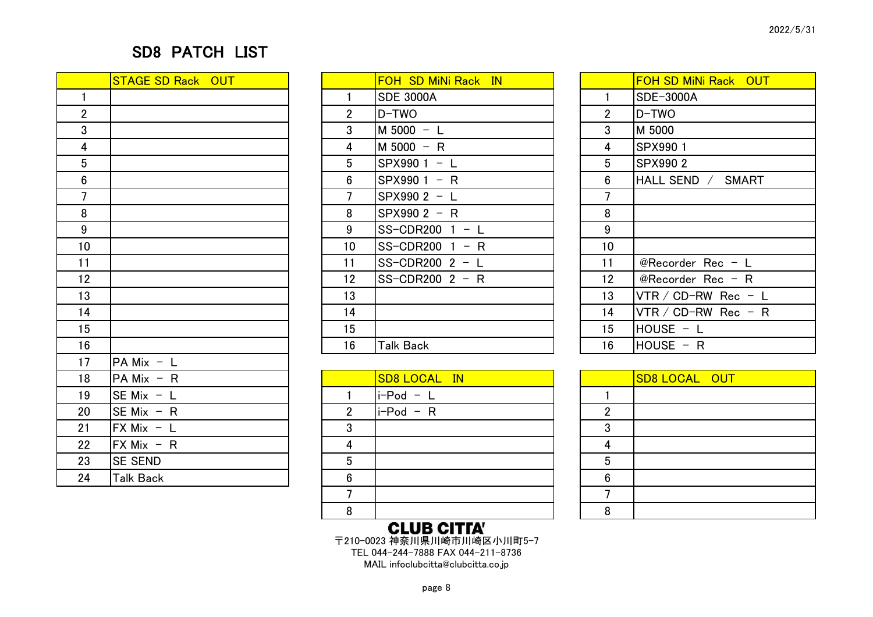### SD8 PATCH LIST

|                         | <b>STAGE SD Rack OUT</b>   |
|-------------------------|----------------------------|
| $\mathbf{1}$            |                            |
| $\overline{\mathbf{c}}$ |                            |
| 3                       |                            |
| 4                       |                            |
| 5                       |                            |
| 6                       |                            |
| $\overline{7}$          |                            |
| 8                       |                            |
| 9                       |                            |
| 10                      |                            |
| 11                      |                            |
| 12                      |                            |
| 13                      |                            |
| 14                      |                            |
| 15                      |                            |
| 16                      |                            |
| 17                      | PA Mix - L                 |
| 18                      | PA Mix<br>$- R$            |
| 19                      | SE Mix $-$<br>$\mathsf{L}$ |
| 20                      | SE Mix $- R$               |
| 21                      | $FX$ Mix - L               |
| 22                      | $FX$ Mix - R               |
| 23                      | <b>SE SEND</b>             |
| 24                      | <b>Talk Back</b>           |

|                 | <b>STAGE SD Rack OUT</b> |                 | <b>FOH SD MiNi Rack IN</b> |                | <b>FOH SD MiNi Rack OUT</b> |
|-----------------|--------------------------|-----------------|----------------------------|----------------|-----------------------------|
|                 |                          |                 | <b>SDE 3000A</b>           |                | SDE-3000A                   |
| $\frac{2}{3}$   |                          | $\overline{2}$  | D-TWO                      | $\overline{2}$ | D-TWO                       |
|                 |                          | 3               | $M 5000 - L$               | 3              | M 5000                      |
| $\frac{4}{5}$   |                          | 4               | M 5000 - R                 | 4              | SPX990 1                    |
|                 |                          | $5^{\circ}$     | SPX990 1 - L               | $5^{\circ}$    | <b>SPX9902</b>              |
|                 |                          | $6\phantom{.}$  | $SPX9901 - R$              | $6\phantom{1}$ | HALL SEND /<br>SMART        |
| $\frac{6}{7}$   |                          |                 | SPX990 2 - L               |                |                             |
| $\overline{8}$  |                          | 8               | SPX990 2 - R               | 8              |                             |
| $\overline{9}$  |                          | 9               | SS-CDR200 $1 - L$          | 9              |                             |
| 10 <sub>1</sub> |                          | 10 <sup>°</sup> | $SS$ -CDR200 1 – R         | 10             |                             |
| 11              |                          | 11              | SS-CDR200 $2 - L$          | 11             | @Recorder Rec - L           |
| 12 <sup>1</sup> |                          | 12              | $SS$ -CDR200 2 - R         | 12             | @Recorder Rec - R           |
| 13              |                          | 13              |                            | 13             | VTR / CD-RW Rec - $L$       |
| 14              |                          | 14              |                            | 14             | VTR / CD-RW Rec - R         |
| 15 <sub>1</sub> |                          | 15              |                            | 15             | $HOUSE - L$                 |
| 16              |                          | 16              | <b>Talk Back</b>           | 16             | $HOUSE - R$                 |
|                 |                          |                 |                            |                |                             |

|         |                                                 |   | <b>AIIID AIDEA!</b> |   |                      |  |
|---------|-------------------------------------------------|---|---------------------|---|----------------------|--|
|         |                                                 | 8 |                     | 8 |                      |  |
|         |                                                 |   |                     |   |                      |  |
| 24      | <b>Talk Back</b>                                | 6 |                     | 6 |                      |  |
| 23      | <b>SE SEND</b>                                  | 5 |                     |   |                      |  |
| $22 \,$ | $\mathsf{FX}\mathsf{Mix}\ \text{-}\ \mathsf{R}$ | Δ |                     | Δ |                      |  |
| 21      | $FX$ Mix $-$ L                                  |   |                     |   |                      |  |
| 20      | $SE Mix - R$                                    |   | $i-Pod - R$         |   |                      |  |
| 19      | $SE Mix - L$                                    |   | $i-Pod - L$         |   |                      |  |
| 18      | $PA Mix - R$                                    |   | <b>SD8 LOCAL IN</b> |   | <b>SD8 LOCAL OUT</b> |  |
|         |                                                 |   |                     |   |                      |  |

|    | <b>FOH SD MiNi Rack OUT</b> |
|----|-----------------------------|
| 1  | SDE-3000A                   |
| 2  | D-TWO                       |
| 3  | M 5000                      |
| 4  | SPX990 1                    |
| 5  | SPX990 2                    |
| 6  | HALL SEND / SMART           |
| 7  |                             |
| 8  |                             |
| 9  |                             |
| 10 |                             |
| 11 | @Recorder Rec $- L$         |
| 12 | @Recorder Rec $-$ R         |
| 13 | VTR / CD-RW Rec - L         |
| 14 | VTR / CD-RW Rec - R         |
| 15 | $HOUSE - L$                 |
| 16 | $HOUSE - R$                 |

|   | <b>SD8 LOCAL OUT</b> |
|---|----------------------|
|   |                      |
| 2 |                      |
| 3 |                      |
|   |                      |
| 5 |                      |
| հ |                      |
|   |                      |
|   |                      |

**CLUB CITTA'**<br>〒210-0023 神奈川県川崎市川崎区小川町5-7 TEL 044-244-7888 FAX 044-211-8736 MAIL infoclubcitta@clubcitta.co.jp